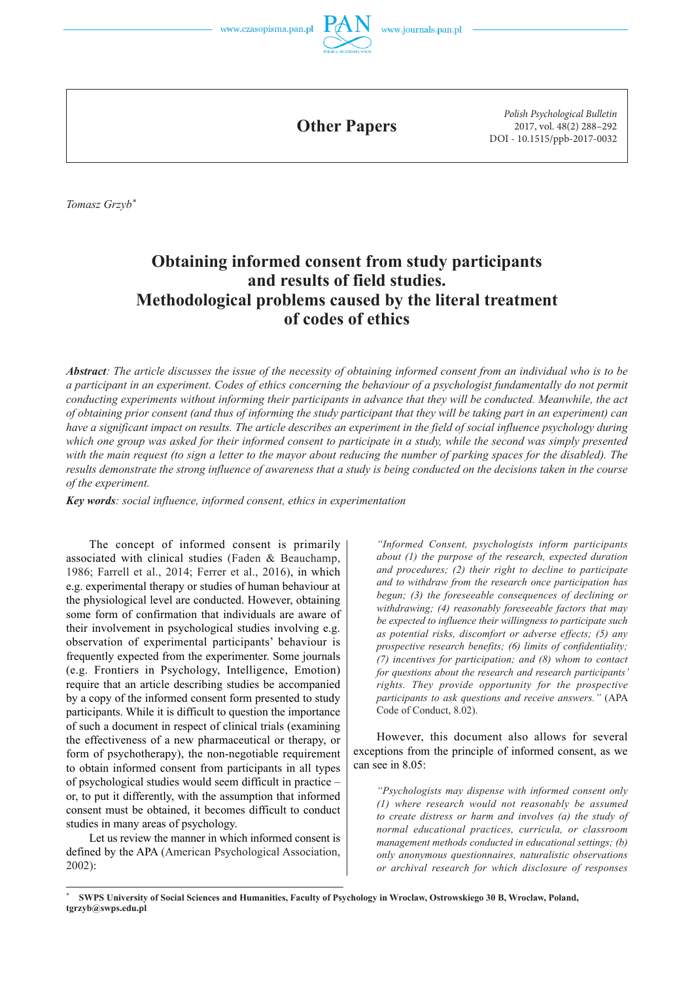



**Other Papers**

*Polish Psychological Bulletin* 2017, vol. 48(2) 288–292 DOI - 10.1515/ppb-2017-0032

*Tomasz Grzyb\**

# **Obtaining informed consent from study participants and results of field studies. Methodological problems caused by the literal treatment of codes of ethics**

*Abstract: The article discusses the issue of the necessity of obtaining informed consent from an individual who is to be a participant in an experiment. Codes of ethics concerning the behaviour of a psychologist fundamentally do not permit conducting experiments without informing their participants in advance that they will be conducted. Meanwhile, the act of obtaining prior consent (and thus of informing the study participant that they will be taking part in an experiment) can have a significant impact on results. The article describes an experiment in the field of social influence psychology during which one group was asked for their informed consent to participate in a study, while the second was simply presented with the main request (to sign a letter to the mayor about reducing the number of parking spaces for the disabled). The results demonstrate the strong influence of awareness that a study is being conducted on the decisions taken in the course of the experiment.*

*Key words: social influence, informed consent, ethics in experimentation*

The concept of informed consent is primarily associated with clinical studies (Faden & Beauchamp, 1986; Farrell et al., 2014; Ferrer et al., 2016), in which e.g. experimental therapy or studies of human behaviour at the physiological level are conducted. However, obtaining some form of confirmation that individuals are aware of their involvement in psychological studies involving e.g. observation of experimental participants' behaviour is frequently expected from the experimenter. Some journals (e.g. Frontiers in Psychology, Intelligence, Emotion) require that an article describing studies be accompanied by a copy of the informed consent form presented to study participants. While it is difficult to question the importance of such a document in respect of clinical trials (examining the effectiveness of a new pharmaceutical or therapy, or form of psychotherapy), the non-negotiable requirement to obtain informed consent from participants in all types of psychological studies would seem difficult in practice – or, to put it differently, with the assumption that informed consent must be obtained, it becomes difficult to conduct studies in many areas of psychology.

Let us review the manner in which informed consent is defined by the APA (American Psychological Association, 2002):

*"Informed Consent, psychologists inform participants about (1) the purpose of the research, expected duration and procedures; (2) their right to decline to participate and to withdraw from the research once participation has begun; (3) the foreseeable consequences of declining or withdrawing; (4) reasonably foreseeable factors that may be expected to influence their willingness to participate such as potential risks, discomfort or adverse effects; (5) any prospective research benefits; (6) limits of confidentiality; (7) incentives for participation; and (8) whom to contact for questions about the research and research participants' rights. They provide opportunity for the prospective participants to ask questions and receive answers."* (APA Code of Conduct, 8.02).

However, this document also allows for several exceptions from the principle of informed consent, as we can see in 8.05:

*"Psychologists may dispense with informed consent only (1) where research would not reasonably be assumed to create distress or harm and involves (a) the study of normal educational practices, curricula, or classroom management methods conducted in educational settings; (b) only anonymous questionnaires, naturalistic observations or archival research for which disclosure of responses* 

**<sup>\*</sup> SWPS University of Social Sciences and Humanities, Faculty of Psychology in Wroclaw, Ostrowskiego 30 B, Wroclaw, Poland, tgrzyb@swps.edu.pl**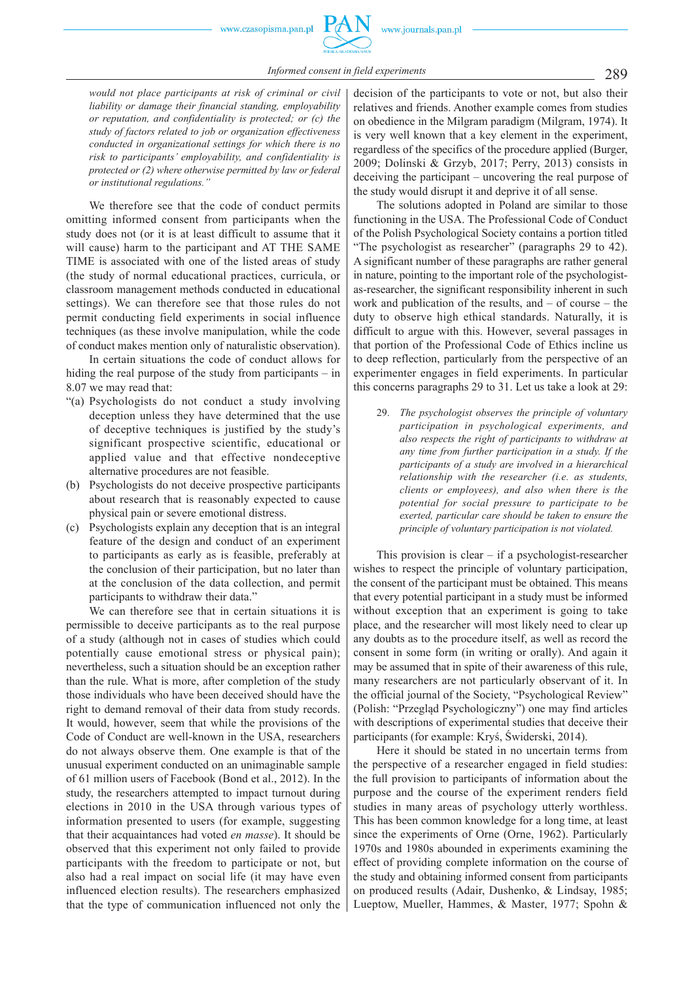*would not place participants at risk of criminal or civil liability or damage their financial standing, employability or reputation, and confidentiality is protected; or (c) the study of factors related to job or organization effectiveness conducted in organizational settings for which there is no risk to participants' employability, and confidentiality is protected or (2) where otherwise permitted by law or federal or institutional regulations."*

We therefore see that the code of conduct permits omitting informed consent from participants when the study does not (or it is at least difficult to assume that it will cause) harm to the participant and AT THE SAME TIME is associated with one of the listed areas of study (the study of normal educational practices, curricula, or classroom management methods conducted in educational settings). We can therefore see that those rules do not permit conducting field experiments in social influence techniques (as these involve manipulation, while the code of conduct makes mention only of naturalistic observation).

In certain situations the code of conduct allows for hiding the real purpose of the study from participants – in 8.07 we may read that:

- "(a) Psychologists do not conduct a study involving deception unless they have determined that the use of deceptive techniques is justified by the study's significant prospective scientific, educational or applied value and that effective nondeceptive alternative procedures are not feasible.
- (b) Psychologists do not deceive prospective participants about research that is reasonably expected to cause physical pain or severe emotional distress.
- (c) Psychologists explain any deception that is an integral feature of the design and conduct of an experiment to participants as early as is feasible, preferably at the conclusion of their participation, but no later than at the conclusion of the data collection, and permit participants to withdraw their data."

We can therefore see that in certain situations it is permissible to deceive participants as to the real purpose of a study (although not in cases of studies which could potentially cause emotional stress or physical pain); nevertheless, such a situation should be an exception rather than the rule. What is more, after completion of the study those individuals who have been deceived should have the right to demand removal of their data from study records. It would, however, seem that while the provisions of the Code of Conduct are well-known in the USA, researchers do not always observe them. One example is that of the unusual experiment conducted on an unimaginable sample of 61 million users of Facebook (Bond et al., 2012). In the study, the researchers attempted to impact turnout during elections in 2010 in the USA through various types of information presented to users (for example, suggesting that their acquaintances had voted *en masse*). It should be observed that this experiment not only failed to provide participants with the freedom to participate or not, but also had a real impact on social life (it may have even influenced election results). The researchers emphasized that the type of communication influenced not only the

decision of the participants to vote or not, but also their relatives and friends. Another example comes from studies on obedience in the Milgram paradigm (Milgram, 1974). It is very well known that a key element in the experiment, regardless of the specifics of the procedure applied (Burger, 2009; Dolinski & Grzyb, 2017; Perry, 2013) consists in deceiving the participant – uncovering the real purpose of the study would disrupt it and deprive it of all sense.

The solutions adopted in Poland are similar to those functioning in the USA. The Professional Code of Conduct of the Polish Psychological Society contains a portion titled "The psychologist as researcher" (paragraphs 29 to 42). A significant number of these paragraphs are rather general in nature, pointing to the important role of the psychologistas-researcher, the significant responsibility inherent in such work and publication of the results, and  $-$  of course  $-$  the duty to observe high ethical standards. Naturally, it is difficult to argue with this. However, several passages in that portion of the Professional Code of Ethics incline us to deep reflection, particularly from the perspective of an experimenter engages in field experiments. In particular this concerns paragraphs 29 to 31. Let us take a look at 29:

29. *The psychologist observes the principle of voluntary participation in psychological experiments, and also respects the right of participants to withdraw at any time from further participation in a study. If the participants of a study are involved in a hierarchical relationship with the researcher (i.e. as students, clients or employees), and also when there is the potential for social pressure to participate to be exerted, particular care should be taken to ensure the principle of voluntary participation is not violated.* 

This provision is clear  $-$  if a psychologist-researcher wishes to respect the principle of voluntary participation, the consent of the participant must be obtained. This means that every potential participant in a study must be informed without exception that an experiment is going to take place, and the researcher will most likely need to clear up any doubts as to the procedure itself, as well as record the consent in some form (in writing or orally). And again it may be assumed that in spite of their awareness of this rule, many researchers are not particularly observant of it. In the official journal of the Society, "Psychological Review" (Polish: "Przegląd Psychologiczny") one may find articles with descriptions of experimental studies that deceive their participants (for example: Kryś, Świderski, 2014).

Here it should be stated in no uncertain terms from the perspective of a researcher engaged in field studies: the full provision to participants of information about the purpose and the course of the experiment renders field studies in many areas of psychology utterly worthless. This has been common knowledge for a long time, at least since the experiments of Orne (Orne, 1962). Particularly 1970s and 1980s abounded in experiments examining the effect of providing complete information on the course of the study and obtaining informed consent from participants on produced results (Adair, Dushenko, & Lindsay, 1985; Lueptow, Mueller, Hammes, & Master, 1977; Spohn &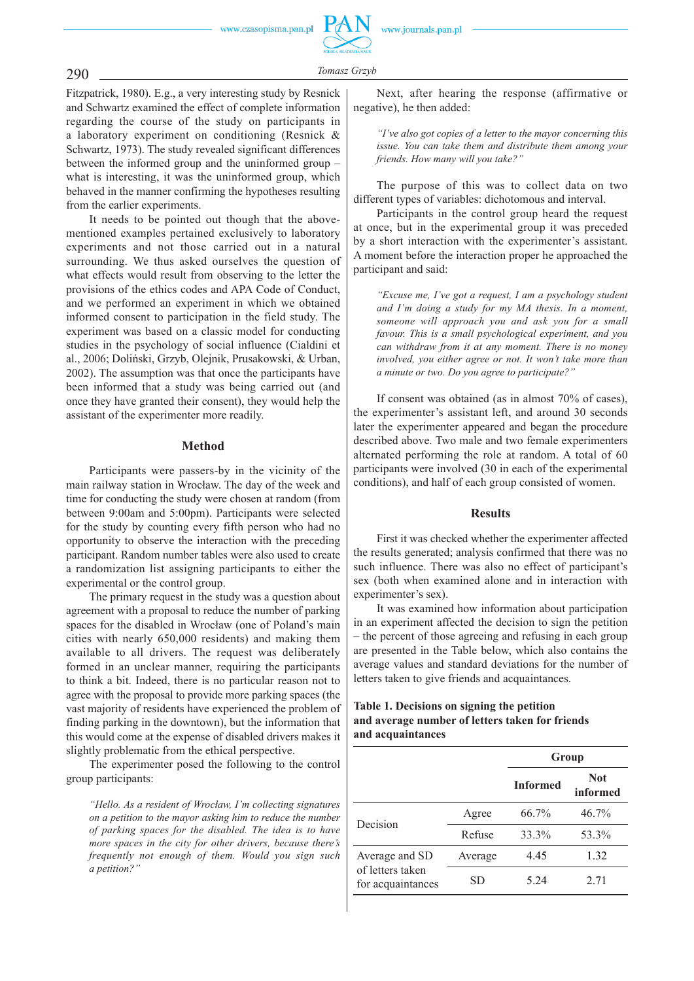www.czasopisma.pan.pl

# *Tomasz Grzyb* 290

Fitzpatrick, 1980). E.g., a very interesting study by Resnick and Schwartz examined the effect of complete information regarding the course of the study on participants in a laboratory experiment on conditioning (Resnick & Schwartz, 1973). The study revealed significant differences between the informed group and the uninformed group – what is interesting, it was the uninformed group, which behaved in the manner confirming the hypotheses resulting from the earlier experiments.

It needs to be pointed out though that the abovementioned examples pertained exclusively to laboratory experiments and not those carried out in a natural surrounding. We thus asked ourselves the question of what effects would result from observing to the letter the provisions of the ethics codes and APA Code of Conduct, and we performed an experiment in which we obtained informed consent to participation in the field study. The experiment was based on a classic model for conducting studies in the psychology of social influence (Cialdini et al., 2006; Doliński, Grzyb, Olejnik, Prusakowski, & Urban, 2002). The assumption was that once the participants have been informed that a study was being carried out (and once they have granted their consent), they would help the assistant of the experimenter more readily.

# **Method**

Participants were passers-by in the vicinity of the main railway station in Wrocław. The day of the week and time for conducting the study were chosen at random (from between 9:00am and 5:00pm). Participants were selected for the study by counting every fifth person who had no opportunity to observe the interaction with the preceding participant. Random number tables were also used to create a randomization list assigning participants to either the experimental or the control group.

The primary request in the study was a question about agreement with a proposal to reduce the number of parking spaces for the disabled in Wrocław (one of Poland's main cities with nearly 650,000 residents) and making them available to all drivers. The request was deliberately formed in an unclear manner, requiring the participants to think a bit. Indeed, there is no particular reason not to agree with the proposal to provide more parking spaces (the vast majority of residents have experienced the problem of finding parking in the downtown), but the information that this would come at the expense of disabled drivers makes it slightly problematic from the ethical perspective.

The experimenter posed the following to the control group participants:

*"Hello. As a resident of Wrocław, I'm collecting signatures on a petition to the mayor asking him to reduce the number of parking spaces for the disabled. The idea is to have more spaces in the city for other drivers, because there's frequently not enough of them. Would you sign such a petition?"*

Next, after hearing the response (affirmative or negative), he then added:

*"I've also got copies of a letter to the mayor concerning this issue. You can take them and distribute them among your friends. How many will you take?"*

The purpose of this was to collect data on two different types of variables: dichotomous and interval.

Participants in the control group heard the request at once, but in the experimental group it was preceded by a short interaction with the experimenter's assistant. A moment before the interaction proper he approached the participant and said:

*"Excuse me, I've got a request, I am a psychology student and I'm doing a study for my MA thesis. In a moment, someone will approach you and ask you for a small favour. This is a small psychological experiment, and you can withdraw from it at any moment. There is no money involved, you either agree or not. It won't take more than a minute or two. Do you agree to participate?"* 

If consent was obtained (as in almost 70% of cases), the experimenter's assistant left, and around 30 seconds later the experimenter appeared and began the procedure described above. Two male and two female experimenters alternated performing the role at random. A total of 60 participants were involved (30 in each of the experimental conditions), and half of each group consisted of women.

# **Results**

First it was checked whether the experimenter affected the results generated; analysis confirmed that there was no such influence. There was also no effect of participant's sex (both when examined alone and in interaction with experimenter's sex).

It was examined how information about participation in an experiment affected the decision to sign the petition – the percent of those agreeing and refusing in each group are presented in the Table below, which also contains the average values and standard deviations for the number of letters taken to give friends and acquaintances.

# **Table 1. Decisions on signing the petition and average number of letters taken for friends and acquaintances**

|                                                         |         | Group           |                        |
|---------------------------------------------------------|---------|-----------------|------------------------|
|                                                         |         | <b>Informed</b> | <b>Not</b><br>informed |
| Decision                                                | Agree   | 66.7%           | $46.7\%$               |
|                                                         | Refuse  | 33.3%           | 53.3%                  |
| Average and SD<br>of letters taken<br>for acquaintances | Average | 4.45            | 1.32                   |
|                                                         | SD      | 5.24            | 2.71                   |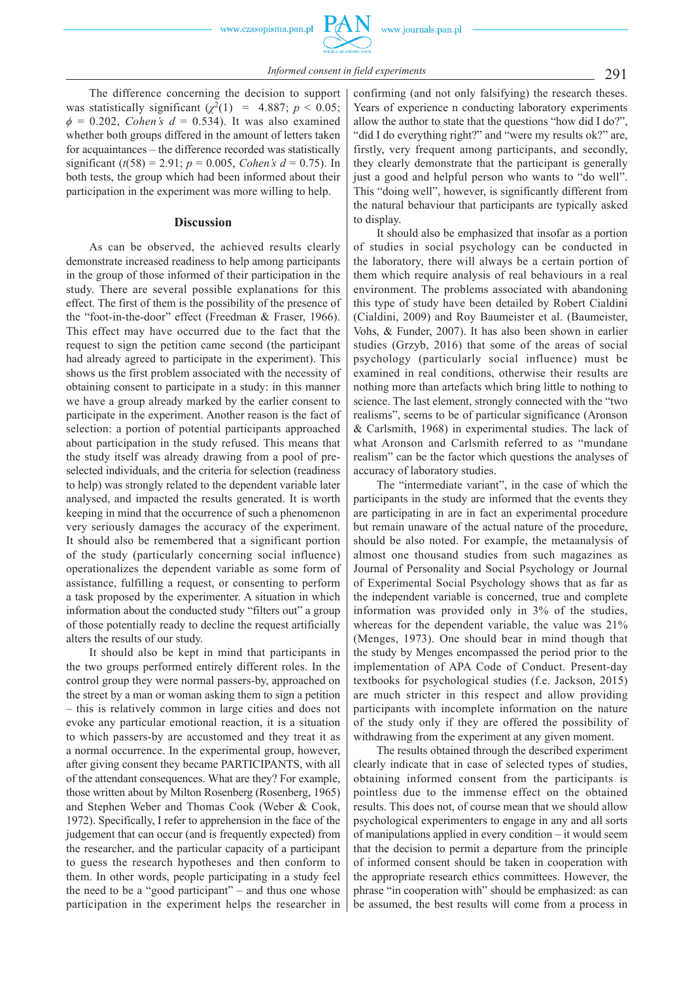www.czasopisma.pan.pl

The difference concerning the decision to support was statistically significant  $(\chi^2(1) = 4.887; p < 0.05;$  $\phi = 0.202$ , *Cohen's d* = 0.534). It was also examined whether both groups differed in the amount of letters taken for acquaintances – the difference recorded was statistically significant ( $t(58) = 2.91$ ;  $p = 0.005$ , *Cohen's d* = 0.75). In both tests, the group which had been informed about their participation in the experiment was more willing to help.

#### **Discussion**

As can be observed, the achieved results clearly demonstrate increased readiness to help among participants in the group of those informed of their participation in the study. There are several possible explanations for this effect. The first of them is the possibility of the presence of the "foot-in-the-door" effect (Freedman & Fraser, 1966). This effect may have occurred due to the fact that the request to sign the petition came second (the participant had already agreed to participate in the experiment). This shows us the first problem associated with the necessity of obtaining consent to participate in a study: in this manner we have a group already marked by the earlier consent to participate in the experiment. Another reason is the fact of selection: a portion of potential participants approached about participation in the study refused. This means that the study itself was already drawing from a pool of preselected individuals, and the criteria for selection (readiness to help) was strongly related to the dependent variable later analysed, and impacted the results generated. It is worth keeping in mind that the occurrence of such a phenomenon very seriously damages the accuracy of the experiment. It should also be remembered that a significant portion of the study (particularly concerning social influence) operationalizes the dependent variable as some form of assistance, fulfilling a request, or consenting to perform a task proposed by the experimenter. A situation in which information about the conducted study "filters out" a group of those potentially ready to decline the request artificially alters the results of our study.

It should also be kept in mind that participants in the two groups performed entirely different roles. In the control group they were normal passers-by, approached on the street by a man or woman asking them to sign a petition – this is relatively common in large cities and does not evoke any particular emotional reaction, it is a situation to which passers-by are accustomed and they treat it as a normal occurrence. In the experimental group, however, after giving consent they became PARTICIPANTS, with all of the attendant consequences. What are they? For example, those written about by Milton Rosenberg (Rosenberg, 1965) and Stephen Weber and Thomas Cook (Weber & Cook, 1972). Specifically, I refer to apprehension in the face of the judgement that can occur (and is frequently expected) from the researcher, and the particular capacity of a participant to guess the research hypotheses and then conform to them. In other words, people participating in a study feel the need to be a "good participant" – and thus one whose participation in the experiment helps the researcher in

confirming (and not only falsifying) the research theses. Years of experience n conducting laboratory experiments allow the author to state that the questions "how did I do?", "did I do everything right?" and "were my results ok?" are, firstly, very frequent among participants, and secondly, they clearly demonstrate that the participant is generally just a good and helpful person who wants to "do well". This "doing well", however, is significantly different from the natural behaviour that participants are typically asked to display.

It should also be emphasized that insofar as a portion of studies in social psychology can be conducted in the laboratory, there will always be a certain portion of them which require analysis of real behaviours in a real environment. The problems associated with abandoning this type of study have been detailed by Robert Cialdini (Cialdini, 2009) and Roy Baumeister et al. (Baumeister, Vohs, & Funder, 2007). It has also been shown in earlier studies (Grzyb, 2016) that some of the areas of social psychology (particularly social influence) must be examined in real conditions, otherwise their results are nothing more than artefacts which bring little to nothing to science. The last element, strongly connected with the "two realisms", seems to be of particular significance (Aronson & Carlsmith, 1968) in experimental studies. The lack of what Aronson and Carlsmith referred to as "mundane realism" can be the factor which questions the analyses of accuracy of laboratory studies.

The "intermediate variant", in the case of which the participants in the study are informed that the events they are participating in are in fact an experimental procedure but remain unaware of the actual nature of the procedure, should be also noted. For example, the metaanalysis of almost one thousand studies from such magazines as Journal of Personality and Social Psychology or Journal of Experimental Social Psychology shows that as far as the independent variable is concerned, true and complete information was provided only in 3% of the studies, whereas for the dependent variable, the value was 21% (Menges, 1973). One should bear in mind though that the study by Menges encompassed the period prior to the implementation of APA Code of Conduct. Present-day textbooks for psychological studies (f.e. Jackson, 2015) are much stricter in this respect and allow providing participants with incomplete information on the nature of the study only if they are offered the possibility of withdrawing from the experiment at any given moment.

The results obtained through the described experiment clearly indicate that in case of selected types of studies, obtaining informed consent from the participants is pointless due to the immense effect on the obtained results. This does not, of course mean that we should allow psychological experimenters to engage in any and all sorts of manipulations applied in every condition – it would seem that the decision to permit a departure from the principle of informed consent should be taken in cooperation with the appropriate research ethics committees. However, the phrase "in cooperation with" should be emphasized: as can be assumed, the best results will come from a process in